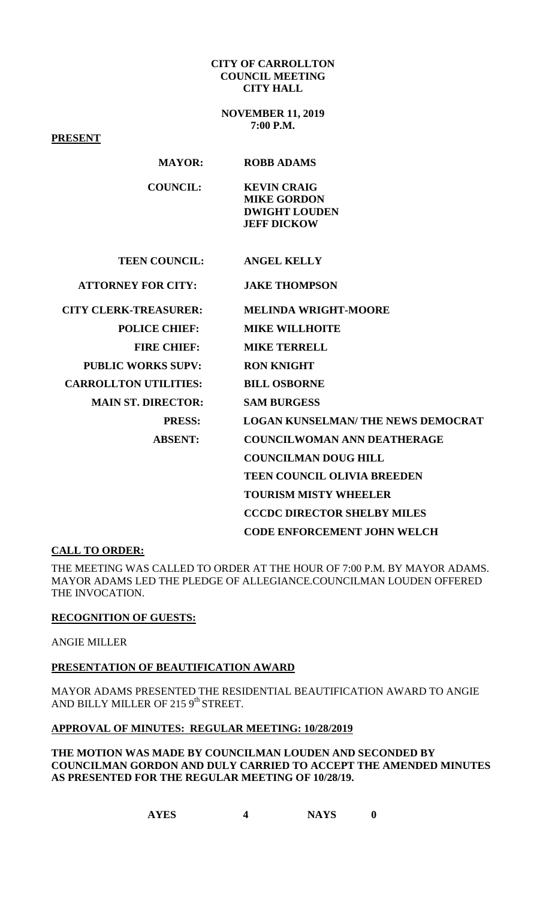#### **CITY OF CARROLLTON COUNCIL MEETING CITY HALL**

**NOVEMBER 11, 2019 7:00 P.M.**

**PRESENT**

| <b>MAYOR:</b>                | <b>ROBB ADAMS</b>                                                                      |
|------------------------------|----------------------------------------------------------------------------------------|
| <b>COUNCIL:</b>              | <b>KEVIN CRAIG</b><br><b>MIKE GORDON</b><br><b>DWIGHT LOUDEN</b><br><b>JEFF DICKOW</b> |
| <b>TEEN COUNCIL:</b>         | <b>ANGEL KELLY</b>                                                                     |
| <b>ATTORNEY FOR CITY:</b>    | <b>JAKE THOMPSON</b>                                                                   |
| <b>CITY CLERK-TREASURER:</b> | <b>MELINDA WRIGHT-MOORE</b>                                                            |
| <b>POLICE CHIEF:</b>         | <b>MIKE WILLHOITE</b>                                                                  |
| <b>FIRE CHIEF:</b>           | <b>MIKE TERRELL</b>                                                                    |
| <b>PUBLIC WORKS SUPV:</b>    | <b>RON KNIGHT</b>                                                                      |
| <b>CARROLLTON UTILITIES:</b> | <b>BILL OSBORNE</b>                                                                    |
| <b>MAIN ST. DIRECTOR:</b>    | <b>SAM BURGESS</b>                                                                     |
| <b>PRESS:</b>                | <b>LOGAN KUNSELMAN/ THE NEWS DEMOCRAT</b>                                              |
| <b>ABSENT:</b>               | <b>COUNCILWOMAN ANN DEATHERAGE</b>                                                     |
|                              | <b>COUNCILMAN DOUG HILL</b>                                                            |
|                              | <b>TEEN COUNCIL OLIVIA BREEDEN</b>                                                     |
|                              | <b>TOURISM MISTY WHEELER</b>                                                           |
|                              | <b>CCCDC DIRECTOR SHELBY MILES</b>                                                     |
|                              | <b>CODE ENFORCEMENT JOHN WELCH</b>                                                     |

## **CALL TO ORDER:**

THE MEETING WAS CALLED TO ORDER AT THE HOUR OF 7:00 P.M. BY MAYOR ADAMS. MAYOR ADAMS LED THE PLEDGE OF ALLEGIANCE.COUNCILMAN LOUDEN OFFERED THE INVOCATION.

## **RECOGNITION OF GUESTS:**

ANGIE MILLER

## **PRESENTATION OF BEAUTIFICATION AWARD**

MAYOR ADAMS PRESENTED THE RESIDENTIAL BEAUTIFICATION AWARD TO ANGIE AND BILLY MILLER OF 215 9<sup>th</sup> STREET.

# **APPROVAL OF MINUTES: REGULAR MEETING: 10/28/2019**

**THE MOTION WAS MADE BY COUNCILMAN LOUDEN AND SECONDED BY COUNCILMAN GORDON AND DULY CARRIED TO ACCEPT THE AMENDED MINUTES AS PRESENTED FOR THE REGULAR MEETING OF 10/28/19.**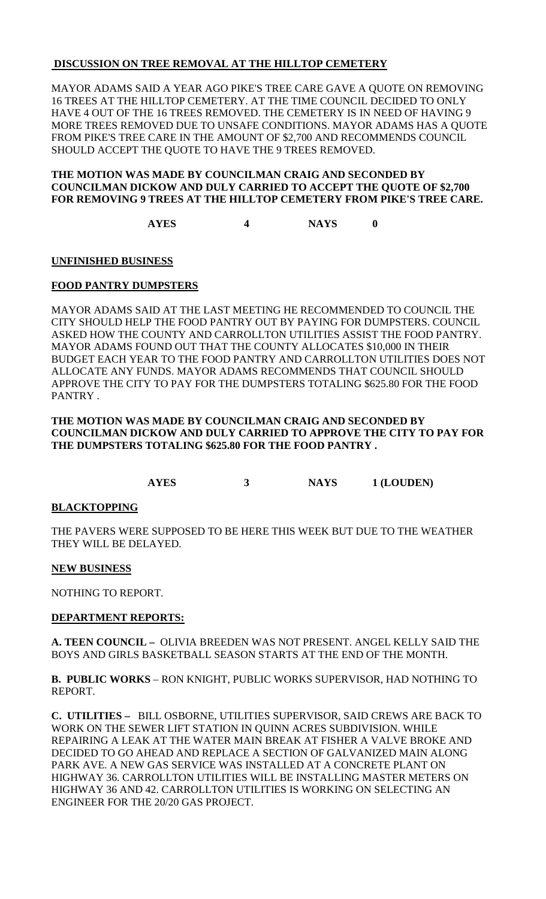# **DISCUSSION ON TREE REMOVAL AT THE HILLTOP CEMETERY**

MAYOR ADAMS SAID A YEAR AGO PIKE'S TREE CARE GAVE A QUOTE ON REMOVING 16 TREES AT THE HILLTOP CEMETERY. AT THE TIME COUNCIL DECIDED TO ONLY HAVE 4 OUT OF THE 16 TREES REMOVED. THE CEMETERY IS IN NEED OF HAVING 9 MORE TREES REMOVED DUE TO UNSAFE CONDITIONS. MAYOR ADAMS HAS A QUOTE FROM PIKE'S TREE CARE IN THE AMOUNT OF \$2,700 AND RECOMMENDS COUNCIL SHOULD ACCEPT THE QUOTE TO HAVE THE 9 TREES REMOVED.

## **THE MOTION WAS MADE BY COUNCILMAN CRAIG AND SECONDED BY COUNCILMAN DICKOW AND DULY CARRIED TO ACCEPT THE QUOTE OF \$2,700 FOR REMOVING 9 TREES AT THE HILLTOP CEMETERY FROM PIKE'S TREE CARE.**

**AYES 4 NAYS 0**

**UNFINISHED BUSINESS**

# **FOOD PANTRY DUMPSTERS**

MAYOR ADAMS SAID AT THE LAST MEETING HE RECOMMENDED TO COUNCIL THE CITY SHOULD HELP THE FOOD PANTRY OUT BY PAYING FOR DUMPSTERS. COUNCIL ASKED HOW THE COUNTY AND CARROLLTON UTILITIES ASSIST THE FOOD PANTRY. MAYOR ADAMS FOUND OUT THAT THE COUNTY ALLOCATES \$10,000 IN THEIR BUDGET EACH YEAR TO THE FOOD PANTRY AND CARROLLTON UTILITIES DOES NOT ALLOCATE ANY FUNDS. MAYOR ADAMS RECOMMENDS THAT COUNCIL SHOULD APPROVE THE CITY TO PAY FOR THE DUMPSTERS TOTALING \$625.80 FOR THE FOOD PANTRY .

#### **THE MOTION WAS MADE BY COUNCILMAN CRAIG AND SECONDED BY COUNCILMAN DICKOW AND DULY CARRIED TO APPROVE THE CITY TO PAY FOR THE DUMPSTERS TOTALING \$625.80 FOR THE FOOD PANTRY .**

**AYES 3 NAYS 1 (LOUDEN)**

# **BLACKTOPPING**

THE PAVERS WERE SUPPOSED TO BE HERE THIS WEEK BUT DUE TO THE WEATHER THEY WILL BE DELAYED.

# **NEW BUSINESS**

NOTHING TO REPORT.

# **DEPARTMENT REPORTS:**

**A. TEEN COUNCIL –** OLIVIA BREEDEN WAS NOT PRESENT. ANGEL KELLY SAID THE BOYS AND GIRLS BASKETBALL SEASON STARTS AT THE END OF THE MONTH.

**B. PUBLIC WORKS** – RON KNIGHT, PUBLIC WORKS SUPERVISOR, HAD NOTHING TO REPORT.

**C. UTILITIES –** BILL OSBORNE, UTILITIES SUPERVISOR, SAID CREWS ARE BACK TO WORK ON THE SEWER LIFT STATION IN QUINN ACRES SUBDIVISION. WHILE REPAIRING A LEAK AT THE WATER MAIN BREAK AT FISHER A VALVE BROKE AND DECIDED TO GO AHEAD AND REPLACE A SECTION OF GALVANIZED MAIN ALONG PARK AVE. A NEW GAS SERVICE WAS INSTALLED AT A CONCRETE PLANT ON HIGHWAY 36. CARROLLTON UTILITIES WILL BE INSTALLING MASTER METERS ON HIGHWAY 36 AND 42. CARROLLTON UTILITIES IS WORKING ON SELECTING AN ENGINEER FOR THE 20/20 GAS PROJECT.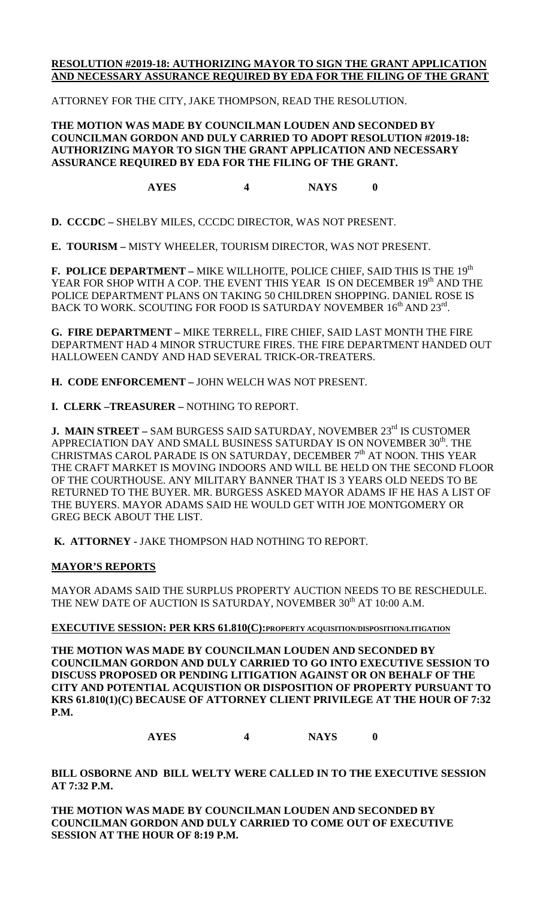# **RESOLUTION #2019-18: AUTHORIZING MAYOR TO SIGN THE GRANT APPLICATION AND NECESSARY ASSURANCE REQUIRED BY EDA FOR THE FILING OF THE GRANT**

ATTORNEY FOR THE CITY, JAKE THOMPSON, READ THE RESOLUTION.

**THE MOTION WAS MADE BY COUNCILMAN LOUDEN AND SECONDED BY COUNCILMAN GORDON AND DULY CARRIED TO ADOPT RESOLUTION #2019-18: AUTHORIZING MAYOR TO SIGN THE GRANT APPLICATION AND NECESSARY ASSURANCE REQUIRED BY EDA FOR THE FILING OF THE GRANT.**

**AYES 4 NAYS 0**

**D. CCCDC –** SHELBY MILES, CCCDC DIRECTOR, WAS NOT PRESENT.

**E. TOURISM –** MISTY WHEELER, TOURISM DIRECTOR, WAS NOT PRESENT.

**F. POLICE DEPARTMENT –** MIKE WILLHOITE, POLICE CHIEF, SAID THIS IS THE 19<sup>th</sup> YEAR FOR SHOP WITH A COP. THE EVENT THIS YEAR IS ON DECEMBER 19<sup>th</sup> AND THE POLICE DEPARTMENT PLANS ON TAKING 50 CHILDREN SHOPPING. DANIEL ROSE IS BACK TO WORK. SCOUTING FOR FOOD IS SATURDAY NOVEMBER 16<sup>th</sup> AND 23<sup>rd</sup>.

**G. FIRE DEPARTMENT –** MIKE TERRELL, FIRE CHIEF, SAID LAST MONTH THE FIRE DEPARTMENT HAD 4 MINOR STRUCTURE FIRES. THE FIRE DEPARTMENT HANDED OUT HALLOWEEN CANDY AND HAD SEVERAL TRICK-OR-TREATERS.

**H. CODE ENFORCEMENT –** JOHN WELCH WAS NOT PRESENT.

**I. CLERK –TREASURER –** NOTHING TO REPORT.

**J. MAIN STREET** – SAM BURGESS SAID SATURDAY, NOVEMBER 23<sup>rd</sup> IS CUSTOMER APPRECIATION DAY AND SMALL BUSINESS SATURDAY IS ON NOVEMBER 30<sup>th</sup>. THE CHRISTMAS CAROL PARADE IS ON SATURDAY, DECEMBER 7<sup>th</sup> AT NOON. THIS YEAR THE CRAFT MARKET IS MOVING INDOORS AND WILL BE HELD ON THE SECOND FLOOR OF THE COURTHOUSE. ANY MILITARY BANNER THAT IS 3 YEARS OLD NEEDS TO BE RETURNED TO THE BUYER. MR. BURGESS ASKED MAYOR ADAMS IF HE HAS A LIST OF THE BUYERS. MAYOR ADAMS SAID HE WOULD GET WITH JOE MONTGOMERY OR GREG BECK ABOUT THE LIST.

**K. ATTORNEY -** JAKE THOMPSON HAD NOTHING TO REPORT.

# **MAYOR'S REPORTS**

MAYOR ADAMS SAID THE SURPLUS PROPERTY AUCTION NEEDS TO BE RESCHEDULE. THE NEW DATE OF AUCTION IS SATURDAY, NOVEMBER 30<sup>th</sup> AT 10:00 A.M.

## **EXECUTIVE SESSION: PER KRS 61.810(C):PROPERTY ACQUISITION/DISPOSITION/LITIGATION**

**THE MOTION WAS MADE BY COUNCILMAN LOUDEN AND SECONDED BY COUNCILMAN GORDON AND DULY CARRIED TO GO INTO EXECUTIVE SESSION TO DISCUSS PROPOSED OR PENDING LITIGATION AGAINST OR ON BEHALF OF THE CITY AND POTENTIAL ACQUISTION OR DISPOSITION OF PROPERTY PURSUANT TO KRS 61.810(1)(C) BECAUSE OF ATTORNEY CLIENT PRIVILEGE AT THE HOUR OF 7:32 P.M.**

**AYES 4 NAYS 0**

**BILL OSBORNE AND BILL WELTY WERE CALLED IN TO THE EXECUTIVE SESSION AT 7:32 P.M.**

**THE MOTION WAS MADE BY COUNCILMAN LOUDEN AND SECONDED BY COUNCILMAN GORDON AND DULY CARRIED TO COME OUT OF EXECUTIVE SESSION AT THE HOUR OF 8:19 P.M.**